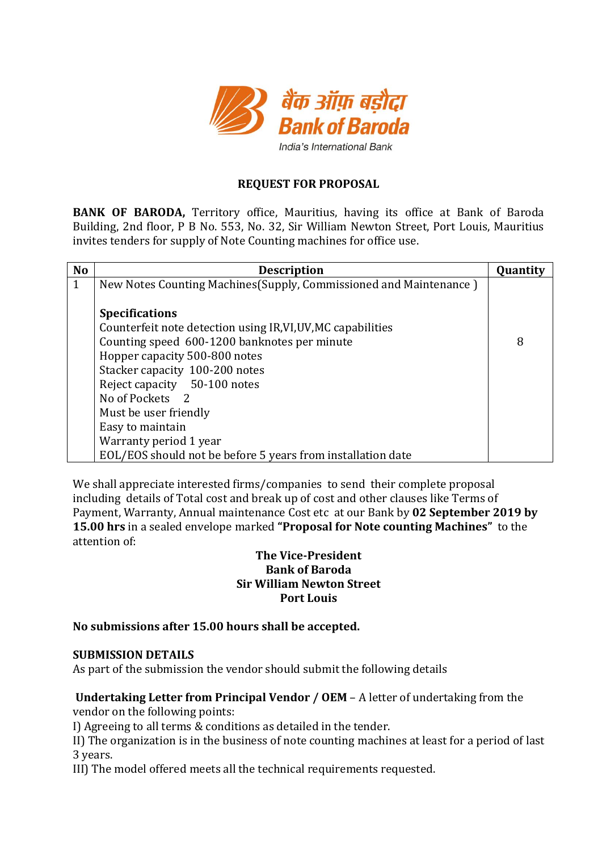

## **REQUEST FOR PROPOSAL**

**BANK OF BARODA,** Territory office, Mauritius, having its office at Bank of Baroda Building, 2nd floor, P B No. 553, No. 32, Sir William Newton Street, Port Louis, Mauritius invites tenders for supply of Note Counting machines for office use.

| <b>No</b>    | <b>Description</b>                                                 | Quantity |
|--------------|--------------------------------------------------------------------|----------|
| $\mathbf{1}$ | New Notes Counting Machines (Supply, Commissioned and Maintenance) |          |
|              |                                                                    |          |
|              | <b>Specifications</b>                                              |          |
|              | Counterfeit note detection using IR, VI, UV, MC capabilities       |          |
|              | Counting speed 600-1200 banknotes per minute                       | 8        |
|              | Hopper capacity 500-800 notes                                      |          |
|              | Stacker capacity 100-200 notes                                     |          |
|              | Reject capacity 50-100 notes                                       |          |
|              | No of Pockets 2                                                    |          |
|              | Must be user friendly                                              |          |
|              | Easy to maintain                                                   |          |
|              | Warranty period 1 year                                             |          |
|              | EOL/EOS should not be before 5 years from installation date        |          |

We shall appreciate interested firms/companies to send their complete proposal including details of Total cost and break up of cost and other clauses like Terms of Payment, Warranty, Annual maintenance Cost etc at our Bank by **02 September 2019 by 15.00 hrs** in a sealed envelope marked **"Proposal for Note counting Machines"** to the attention of:

## **The Vice-President Bank of Baroda Sir William Newton Street Port Louis**

## **No submissions after 15.00 hours shall be accepted.**

#### **SUBMISSION DETAILS**

As part of the submission the vendor should submit the following details

## **Undertaking Letter from Principal Vendor / OEM** – A letter of undertaking from the vendor on the following points:

I) Agreeing to all terms & conditions as detailed in the tender.

II) The organization is in the business of note counting machines at least for a period of last 3 years.

III) The model offered meets all the technical requirements requested.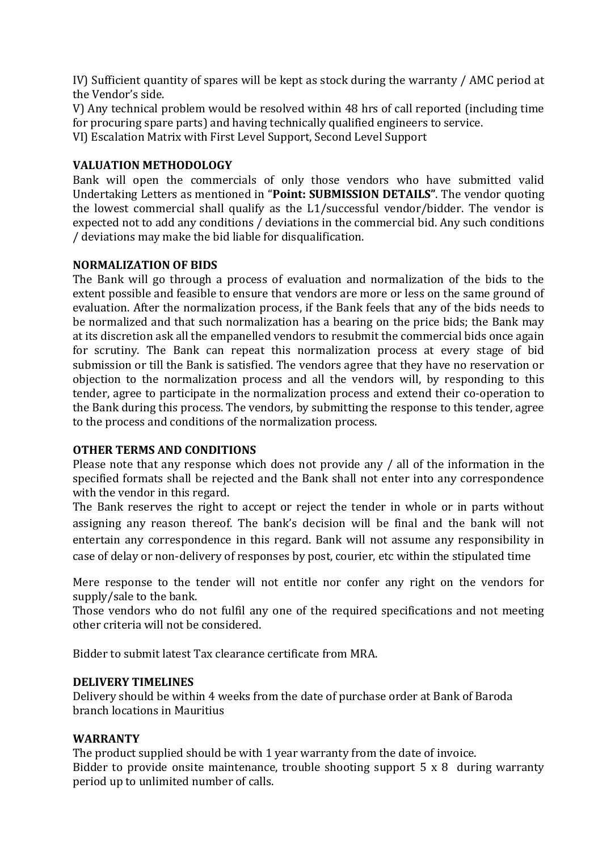IV) Sufficient quantity of spares will be kept as stock during the warranty / AMC period at the Vendor's side.

V) Any technical problem would be resolved within 48 hrs of call reported (including time for procuring spare parts) and having technically qualified engineers to service. VI) Escalation Matrix with First Level Support, Second Level Support

## **VALUATION METHODOLOGY**

Bank will open the commercials of only those vendors who have submitted valid Undertaking Letters as mentioned in "**Point: SUBMISSION DETAILS"**. The vendor quoting the lowest commercial shall qualify as the L1/successful vendor/bidder. The vendor is expected not to add any conditions / deviations in the commercial bid. Any such conditions / deviations may make the bid liable for disqualification.

## **NORMALIZATION OF BIDS**

The Bank will go through a process of evaluation and normalization of the bids to the extent possible and feasible to ensure that vendors are more or less on the same ground of evaluation. After the normalization process, if the Bank feels that any of the bids needs to be normalized and that such normalization has a bearing on the price bids; the Bank may at its discretion ask all the empanelled vendors to resubmit the commercial bids once again for scrutiny. The Bank can repeat this normalization process at every stage of bid submission or till the Bank is satisfied. The vendors agree that they have no reservation or objection to the normalization process and all the vendors will, by responding to this tender, agree to participate in the normalization process and extend their co-operation to the Bank during this process. The vendors, by submitting the response to this tender, agree to the process and conditions of the normalization process.

## **OTHER TERMS AND CONDITIONS**

Please note that any response which does not provide any / all of the information in the specified formats shall be rejected and the Bank shall not enter into any correspondence with the vendor in this regard.

The Bank reserves the right to accept or reject the tender in whole or in parts without assigning any reason thereof. The bank's decision will be final and the bank will not entertain any correspondence in this regard. Bank will not assume any responsibility in case of delay or non-delivery of responses by post, courier, etc within the stipulated time

Mere response to the tender will not entitle nor confer any right on the vendors for supply/sale to the bank.

Those vendors who do not fulfil any one of the required specifications and not meeting other criteria will not be considered.

Bidder to submit latest Tax clearance certificate from MRA.

## **DELIVERY TIMELINES**

Delivery should be within 4 weeks from the date of purchase order at Bank of Baroda branch locations in Mauritius

## **WARRANTY**

The product supplied should be with 1 year warranty from the date of invoice. Bidder to provide onsite maintenance, trouble shooting support 5 x 8 during warranty period up to unlimited number of calls.